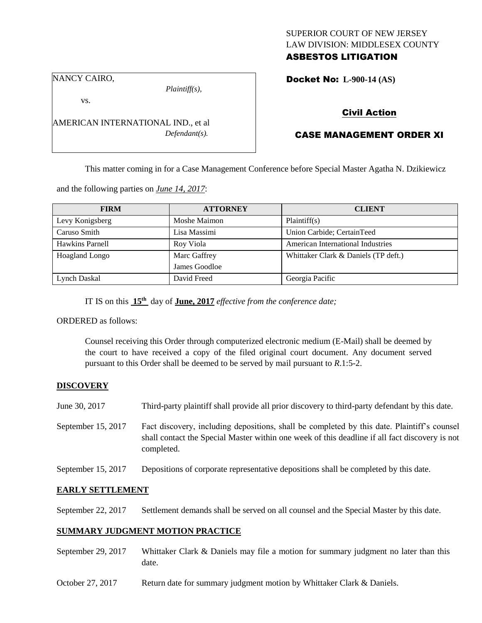## SUPERIOR COURT OF NEW JERSEY LAW DIVISION: MIDDLESEX COUNTY ASBESTOS LITIGATION

NANCY CAIRO,

*Plaintiff(s),*

Docket No: **L-900-14 (AS)** 

vs.

AMERICAN INTERNATIONAL IND., et al *Defendant(s).*

# Civil Action

# CASE MANAGEMENT ORDER XI

This matter coming in for a Case Management Conference before Special Master Agatha N. Dzikiewicz

and the following parties on *June 14, 2017*:

| <b>FIRM</b>     | <b>ATTORNEY</b> | <b>CLIENT</b>                        |
|-----------------|-----------------|--------------------------------------|
| Levy Konigsberg | Moshe Maimon    | Plaintiff(s)                         |
| Caruso Smith    | Lisa Massimi    | Union Carbide; CertainTeed           |
| Hawkins Parnell | Roy Viola       | American International Industries    |
| Hoagland Longo  | Marc Gaffrey    | Whittaker Clark & Daniels (TP deft.) |
|                 | James Goodloe   |                                      |
| Lynch Daskal    | David Freed     | Georgia Pacific                      |

IT IS on this  $15<sup>th</sup>$  day of **June, 2017** *effective from the conference date*;

ORDERED as follows:

Counsel receiving this Order through computerized electronic medium (E-Mail) shall be deemed by the court to have received a copy of the filed original court document. Any document served pursuant to this Order shall be deemed to be served by mail pursuant to *R*.1:5-2.

# **DISCOVERY**

- June 30, 2017 Third-party plaintiff shall provide all prior discovery to third-party defendant by this date.
- September 15, 2017 Fact discovery, including depositions, shall be completed by this date. Plaintiff's counsel shall contact the Special Master within one week of this deadline if all fact discovery is not completed.
- September 15, 2017 Depositions of corporate representative depositions shall be completed by this date.

# **EARLY SETTLEMENT**

September 22, 2017 Settlement demands shall be served on all counsel and the Special Master by this date.

## **SUMMARY JUDGMENT MOTION PRACTICE**

- September 29, 2017 Whittaker Clark & Daniels may file a motion for summary judgment no later than this date.
- October 27, 2017 Return date for summary judgment motion by Whittaker Clark & Daniels.